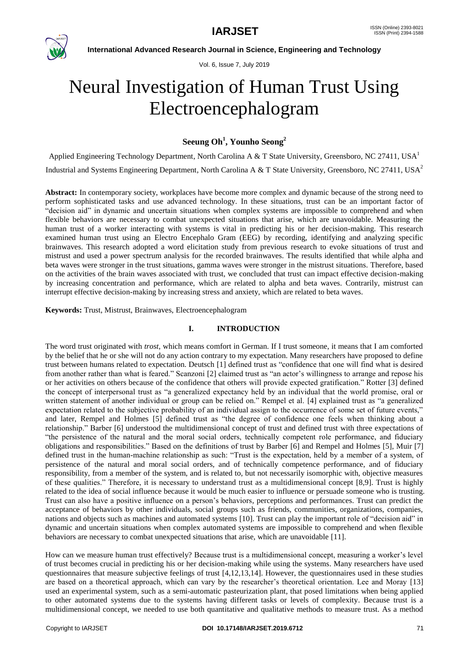

Vol. 6, Issue 7, July 2019

# Neural Investigation of Human Trust Using Electroencephalogram

# **Seeung Oh<sup>1</sup> , Younho Seong<sup>2</sup>**

Applied Engineering Technology Department, North Carolina A & T State University, Greensboro, NC 27411, USA<sup>1</sup> Industrial and Systems Engineering Department, North Carolina A & T State University, Greensboro, NC 27411, USA<sup>2</sup>

**Abstract:** In contemporary society, workplaces have become more complex and dynamic because of the strong need to perform sophisticated tasks and use advanced technology. In these situations, trust can be an important factor of "decision aid" in dynamic and uncertain situations when complex systems are impossible to comprehend and when flexible behaviors are necessary to combat unexpected situations that arise, which are unavoidable. Measuring the human trust of a worker interacting with systems is vital in predicting his or her decision-making. This research examined human trust using an Electro Encephalo Gram (EEG) by recording, identifying and analyzing specific brainwaves. This research adopted a word elicitation study from previous research to evoke situations of trust and mistrust and used a power spectrum analysis for the recorded brainwaves. The results identified that while alpha and beta waves were stronger in the trust situations, gamma waves were stronger in the mistrust situations. Therefore, based on the activities of the brain waves associated with trust, we concluded that trust can impact effective decision-making by increasing concentration and performance, which are related to alpha and beta waves. Contrarily, mistrust can interrupt effective decision-making by increasing stress and anxiety, which are related to beta waves.

# **Keywords:** Trust, Mistrust, Brainwaves, Electroencephalogram

# **I. INTRODUCTION**

The word trust originated with *trost*, which means comfort in German. If I trust someone, it means that I am comforted by the belief that he or she will not do any action contrary to my expectation. Many researchers have proposed to define trust between humans related to expectation. Deutsch [1] defined trust as "confidence that one will find what is desired from another rather than what is feared." Scanzoni [2] claimed trust as "an actor's willingness to arrange and repose his or her activities on others because of the confidence that others will provide expected gratification." Rotter [3] defined the concept of interpersonal trust as "a generalized expectancy held by an individual that the world promise, oral or written statement of another individual or group can be relied on." Rempel et al. [4] explained trust as "a generalized expectation related to the subjective probability of an individual assign to the occurrence of some set of future events," and later, Rempel and Holmes [5] defined trust as "the degree of confidence one feels when thinking about a relationship." Barber [6] understood the multidimensional concept of trust and defined trust with three expectations of "the persistence of the natural and the moral social orders, technically competent role performance, and fiduciary obligations and responsibilities." Based on the definitions of trust by Barber [6] and Rempel and Holmes [5], Muir [7] defined trust in the human-machine relationship as such: "Trust is the expectation, held by a member of a system, of persistence of the natural and moral social orders, and of technically competence performance, and of fiduciary responsibility, from a member of the system, and is related to, but not necessarily isomorphic with, objective measures of these qualities." Therefore, it is necessary to understand trust as a multidimensional concept [8,9]. Trust is highly related to the idea of social influence because it would be much easier to influence or persuade someone who is trusting. Trust can also have a positive influence on a person's behaviors, perceptions and performances. Trust can predict the acceptance of behaviors by other individuals, social groups such as friends, communities, organizations, companies, nations and objects such as machines and automated systems [10]. Trust can play the important role of "decision aid" in dynamic and uncertain situations when complex automated systems are impossible to comprehend and when flexible behaviors are necessary to combat unexpected situations that arise, which are unavoidable [11].

How can we measure human trust effectively? Because trust is a multidimensional concept, measuring a worker's level of trust becomes crucial in predicting his or her decision-making while using the systems. Many researchers have used questionnaires that measure subjective feelings of trust [4,12,13,14]. However, the questionnaires used in these studies are based on a theoretical approach, which can vary by the researcher's theoretical orientation. Lee and Moray [13] used an experimental system, such as a semi-automatic pasteurization plant, that posed limitations when being applied to other automated systems due to the systems having different tasks or levels of complexity. Because trust is a multidimensional concept, we needed to use both quantitative and qualitative methods to measure trust. As a method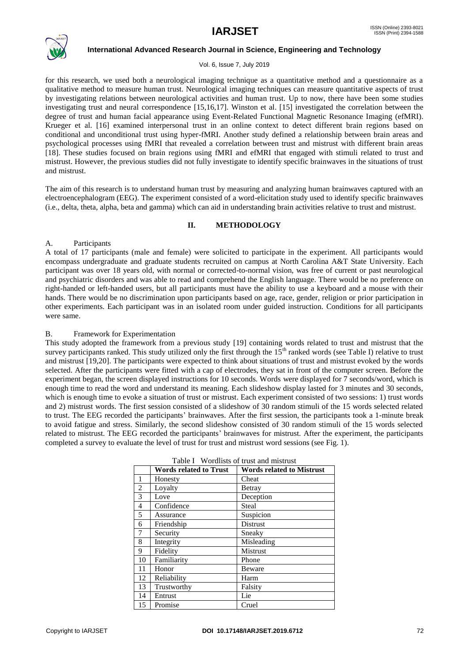

#### Vol. 6, Issue 7, July 2019

for this research, we used both a neurological imaging technique as a quantitative method and a questionnaire as a qualitative method to measure human trust. Neurological imaging techniques can measure quantitative aspects of trust by investigating relations between neurological activities and human trust. Up to now, there have been some studies investigating trust and neural correspondence [15,16,17]. Winston et al. [15] investigated the correlation between the degree of trust and human facial appearance using Event-Related Functional Magnetic Resonance Imaging (efMRI). Krueger et al. [16] examined interpersonal trust in an online context to detect different brain regions based on conditional and unconditional trust using hyper-fMRI. Another study defined a relationship between brain areas and psychological processes using fMRI that revealed a correlation between trust and mistrust with different brain areas [18]. These studies focused on brain regions using fMRI and efMRI that engaged with stimuli related to trust and mistrust. However, the previous studies did not fully investigate to identify specific brainwaves in the situations of trust and mistrust.

The aim of this research is to understand human trust by measuring and analyzing human brainwaves captured with an electroencephalogram (EEG). The experiment consisted of a word-elicitation study used to identify specific brainwaves (i.e., delta, theta, alpha, beta and gamma) which can aid in understanding brain activities relative to trust and mistrust.

# **II. METHODOLOGY**

# A. Participants

A total of 17 participants (male and female) were solicited to participate in the experiment. All participants would encompass undergraduate and graduate students recruited on campus at North Carolina A&T State University. Each participant was over 18 years old, with normal or corrected-to-normal vision, was free of current or past neurological and psychiatric disorders and was able to read and comprehend the English language. There would be no preference on right-handed or left-handed users, but all participants must have the ability to use a keyboard and a mouse with their hands. There would be no discrimination upon participants based on age, race, gender, religion or prior participation in other experiments. Each participant was in an isolated room under guided instruction. Conditions for all participants were same.

# B. Framework for Experimentation

This study adopted the framework from a previous study [19] containing words related to trust and mistrust that the survey participants ranked. This study utilized only the first through the  $15<sup>th</sup>$  ranked words (see Table I) relative to trust and mistrust [19,20]. The participants were expected to think about situations of trust and mistrust evoked by the words selected. After the participants were fitted with a cap of electrodes, they sat in front of the computer screen. Before the experiment began, the screen displayed instructions for 10 seconds. Words were displayed for 7 seconds/word, which is enough time to read the word and understand its meaning. Each slideshow display lasted for 3 minutes and 30 seconds, which is enough time to evoke a situation of trust or mistrust. Each experiment consisted of two sessions: 1) trust words and 2) mistrust words. The first session consisted of a slideshow of 30 random stimuli of the 15 words selected related to trust. The EEG recorded the participants' brainwaves. After the first session, the participants took a 1-minute break to avoid fatigue and stress. Similarly, the second slideshow consisted of 30 random stimuli of the 15 words selected related to mistrust. The EEG recorded the participants' brainwaves for mistrust. After the experiment, the participants completed a survey to evaluate the level of trust for trust and mistrust word sessions (see Fig. 1).

|                | <b>Words related to Trust</b> | <b>Words related to Mistrust</b> |  |  |  |  |  |  |
|----------------|-------------------------------|----------------------------------|--|--|--|--|--|--|
| 1              | Honesty                       | Cheat                            |  |  |  |  |  |  |
| $\overline{c}$ | Loyalty                       | <b>Betray</b>                    |  |  |  |  |  |  |
| 3              | Love                          | Deception                        |  |  |  |  |  |  |
| 4              | Confidence                    | Steal                            |  |  |  |  |  |  |
| 5              | Assurance                     | Suspicion                        |  |  |  |  |  |  |
| 6              | Friendship                    | Distrust                         |  |  |  |  |  |  |
| 7              | Security                      | Sneaky                           |  |  |  |  |  |  |
| 8              | Integrity                     | Misleading                       |  |  |  |  |  |  |
| 9              | Fidelity                      | Mistrust                         |  |  |  |  |  |  |
| 10             | Familiarity                   | Phone                            |  |  |  |  |  |  |
| 11             | Honor                         | Beware                           |  |  |  |  |  |  |
| 12             | Reliability                   | Harm                             |  |  |  |  |  |  |
| 13             | Trustworthy                   | Falsity                          |  |  |  |  |  |  |
| 14             | Entrust                       | Lie                              |  |  |  |  |  |  |
| 15             | Promise                       | Cruel                            |  |  |  |  |  |  |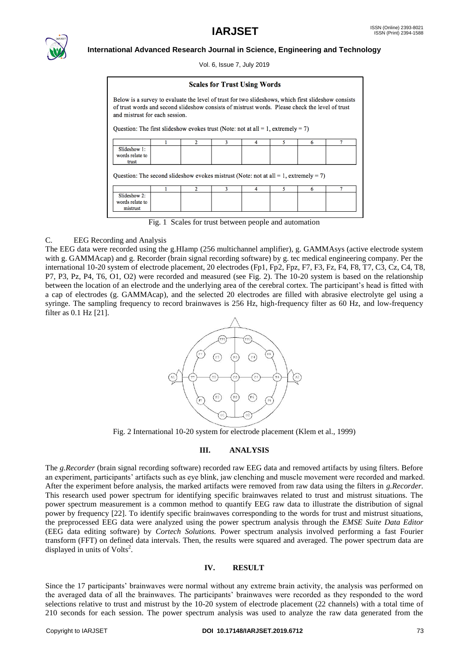

Vol. 6, Issue 7, July 2019

| <b>Scales for Trust Using Words</b>                                                                                                                                                                                                                                                                                                |  |                |   |   |   |   |   |  |  |  |
|------------------------------------------------------------------------------------------------------------------------------------------------------------------------------------------------------------------------------------------------------------------------------------------------------------------------------------|--|----------------|---|---|---|---|---|--|--|--|
| Below is a survey to evaluate the level of trust for two slideshows, which first slideshow consists<br>of trust words and second slideshow consists of mistrust words. Please check the level of trust<br>and mistrust for each session.<br>Question: The first slideshow evokes trust (Note: not at all $= 1$ , extremely $= 7$ ) |  |                |   |   |   |   |   |  |  |  |
|                                                                                                                                                                                                                                                                                                                                    |  | $\overline{2}$ | 3 | 4 | 5 | 6 | 7 |  |  |  |
| Slideshow $1$ :<br>words relate to<br>trust                                                                                                                                                                                                                                                                                        |  |                |   |   |   |   |   |  |  |  |
| Question: The second slideshow evokes mistrust (Note: not at all = 1, extremely = 7)<br>3<br>5<br>2<br>6<br>4                                                                                                                                                                                                                      |  |                |   |   |   |   |   |  |  |  |
| Slideshow 2:<br>words relate to<br>mistrust                                                                                                                                                                                                                                                                                        |  |                |   |   |   |   |   |  |  |  |

Fig. 1 Scales for trust between people and automation

# C. EEG Recording and Analysis

The EEG data were recorded using the g.HIamp (256 multichannel amplifier), g. GAMMAsys (active electrode system with g. GAMMAcap) and g. Recorder (brain signal recording software) by g. tec medical engineering company. Per the international 10-20 system of electrode placement, 20 electrodes (Fp1, Fp2, Fpz, F7, F3, Fz, F4, F8, T7, C3, Cz, C4, T8, P7, P3, Pz, P4, T6, O1, O2) were recorded and measured (see Fig. 2). The 10-20 system is based on the relationship between the location of an electrode and the underlying area of the cerebral cortex. The participant's head is fitted with a cap of electrodes (g. GAMMAcap), and the selected 20 electrodes are filled with abrasive electrolyte gel using a syringe. The sampling frequency to record brainwaves is 256 Hz, high-frequency filter as 60 Hz, and low-frequency filter as 0.1 Hz [21].



Fig. 2 International 10-20 system for electrode placement (Klem et al., 1999)

# **III. ANALYSIS**

The *g.Recorder* (brain signal recording software) recorded raw EEG data and removed artifacts by using filters. Before an experiment, participants' artifacts such as eye blink, jaw clenching and muscle movement were recorded and marked. After the experiment before analysis, the marked artifacts were removed from raw data using the filters in *g.Recorder.* This research used power spectrum for identifying specific brainwaves related to trust and mistrust situations. The power spectrum measurement is a common method to quantify EEG raw data to illustrate the distribution of signal power by frequency [22]. To identify specific brainwaves corresponding to the words for trust and mistrust situations, the preprocessed EEG data were analyzed using the power spectrum analysis through the *EMSE Suite Data Editor* (EEG data editing software) by *Cortech Solutions.* Power spectrum analysis involved performing a fast Fourier transform (FFT) on defined data intervals. Then, the results were squared and averaged. The power spectrum data are displayed in units of Volts<sup>2</sup>.

# **IV. RESULT**

Since the 17 participants' brainwaves were normal without any extreme brain activity, the analysis was performed on the averaged data of all the brainwaves. The participants' brainwaves were recorded as they responded to the word selections relative to trust and mistrust by the 10-20 system of electrode placement (22 channels) with a total time of 210 seconds for each session. The power spectrum analysis was used to analyze the raw data generated from the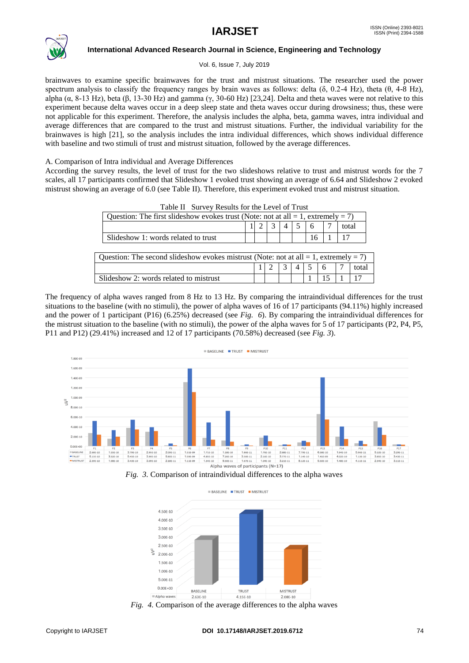

Vol. 6, Issue 7, July 2019

brainwaves to examine specific brainwaves for the trust and mistrust situations. The researcher used the power spectrum analysis to classify the frequency ranges by brain waves as follows: delta ( $\delta$ , 0.2-4 Hz), theta ( $\theta$ , 4-8 Hz), alpha ( $\alpha$ , 8-13 Hz), beta ( $\beta$ , 13-30 Hz) and gamma ( $\gamma$ , 30-60 Hz) [23,24]. Delta and theta waves were not relative to this experiment because delta waves occur in a deep sleep state and theta waves occur during drowsiness; thus, these were not applicable for this experiment. Therefore, the analysis includes the alpha, beta, gamma waves, intra individual and average differences that are compared to the trust and mistrust situations. Further, the individual variability for the brainwaves is high [21], so the analysis includes the intra individual differences, which shows individual difference with baseline and two stimuli of trust and mistrust situation, followed by the average differences.

# A. Comparison of Intra individual and Average Differences

According the survey results, the level of trust for the two slideshows relative to trust and mistrust words for the 7 scales, all 17 participants confirmed that Slideshow 1 evoked trust showing an average of 6.64 and Slideshow 2 evoked mistrust showing an average of 6.0 (see Table II). Therefore, this experiment evoked trust and mistrust situation.

| Table II Burvey Results for the Level of Trust                                             |                                                                                        |  |  |  |   |   |    |   |  |       |  |
|--------------------------------------------------------------------------------------------|----------------------------------------------------------------------------------------|--|--|--|---|---|----|---|--|-------|--|
|                                                                                            | Question: The first slideshow evokes trust (Note: not at all $= 1$ , extremely $= 7$ ) |  |  |  |   |   |    |   |  |       |  |
|                                                                                            |                                                                                        |  |  |  |   |   |    |   |  | total |  |
|                                                                                            | Slideshow 1: words related to trust                                                    |  |  |  |   |   | 16 |   |  | 17    |  |
|                                                                                            |                                                                                        |  |  |  |   |   |    |   |  |       |  |
| Question: The second slideshow evokes mistrust (Note: not at all $= 1$ , extremely $= 7$ ) |                                                                                        |  |  |  |   |   |    |   |  |       |  |
|                                                                                            |                                                                                        |  |  |  | 3 | 4 |    | 6 |  | total |  |
| Slideshow 2: words related to mistrust                                                     |                                                                                        |  |  |  |   |   |    |   |  |       |  |

Table II Survey Results for the Level of Trust

The frequency of alpha waves ranged from 8 Hz to 13 Hz. By comparing the intraindividual differences for the trust situations to the baseline (with no stimuli), the power of alpha waves of 16 of 17 participants (94.11%) highly increased and the power of 1 participant (P16) (6.25%) decreased (see *Fig. 6*). By comparing the intraindividual differences for the mistrust situation to the baseline (with no stimuli), the power of the alpha waves for 5 of 17 participants (P2, P4, P5, P11 and P12) (29.41%) increased and 12 of 17 participants (70.58%) decreased (see *Fig. 3*).



*Fig. 3.* Comparison of intraindividual differences to the alpha waves



*Fig. 4.* Comparison of the average differences to the alpha waves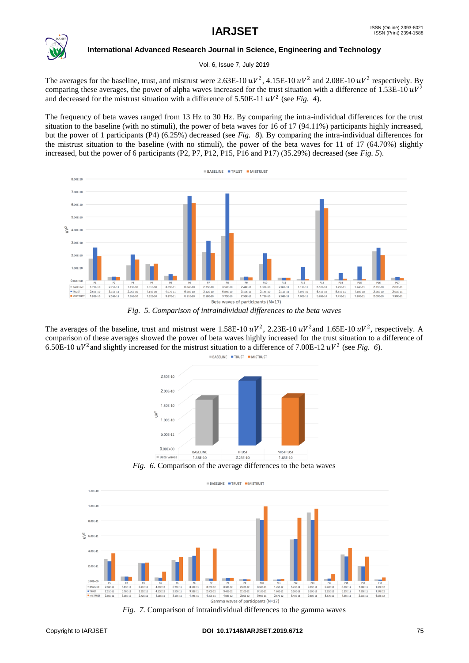

Vol. 6, Issue 7, July 2019

The averages for the baseline, trust, and mistrust were 2.63E-10  $uV^2$ , 4.15E-10  $uV^2$  and 2.08E-10  $uV^2$  respectively. By comparing these averages, the power of alpha waves increased for the trust situation with a difference of 1.53E-10  $uV^2$ and decreased for the mistrust situation with a difference of  $5.50E-11 \frac{uV^2}{\text{sec Fig. 4}}$ .

The frequency of beta waves ranged from 13 Hz to 30 Hz. By comparing the intra-individual differences for the trust situation to the baseline (with no stimuli), the power of beta waves for 16 of 17 (94.11%) participants highly increased, but the power of 1 participants (P4) (6.25%) decreased (see *Fig. 8*). By comparing the intra-individual differences for the mistrust situation to the baseline (with no stimuli), the power of the beta waves for 11 of 17 (64.70%) slightly increased, but the power of 6 participants (P2, P7, P12, P15, P16 and P17) (35.29%) decreased (see *Fig. 5*).



*Fig. 5. Comparison of intraindividual differences to the beta waves*

The averages of the baseline, trust and mistrust were 1.58E-10  $uV^2$ , 2.23E-10  $uV^2$  and 1.65E-10  $uV^2$ , respectively. A comparison of these averages showed the power of beta waves highly increased for the trust situation to a difference of 6.50E-10  $uV^2$  and slightly increased for the mistrust situation to a difference of 7.00E-12  $uV^2$  (see Fig. 6).



*Fig. 6.* Comparison of the average differences to the beta waves



*Fig. 7.* Comparison of intraindividual differences to the gamma waves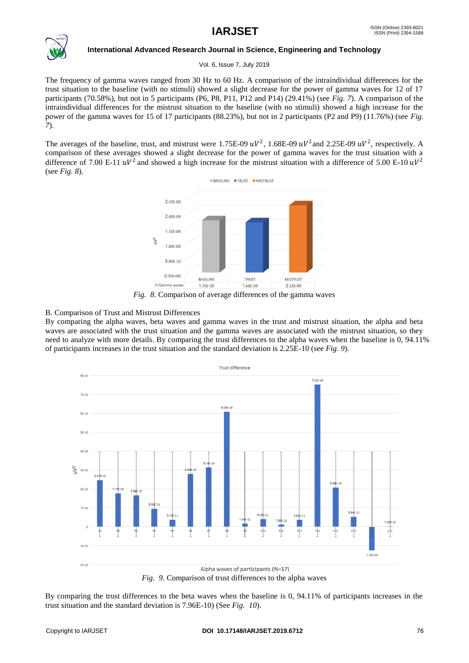

Vol. 6, Issue 7, July 2019

The frequency of gamma waves ranged from 30 Hz to 60 Hz. A comparison of the intraindividual differences for the trust situation to the baseline (with no stimuli) showed a slight decrease for the power of gamma waves for 12 of 17 participants (70.58%), but not in 5 participants (P6, P8, P11, P12 and P14) (29.41%) (see *Fig. 7*). A comparison of the intraindividual differences for the mistrust situation to the baseline (with no stimuli) showed a high increase for the power of the gamma waves for 15 of 17 participants (88.23%), but not in 2 participants (P2 and P9) (11.76%) (see *Fig. 7*).

The averages of the baseline, trust, and mistrust were 1.75E-09  $uV^2$ , 1.68E-09  $uV^2$  and 2.25E-09  $uV^2$ , respectively. A comparison of these averages showed a slight decrease for the power of gamma waves for the trust situation with a difference of 7.00 E-11  $uV^2$  and showed a high increase for the mistrust situation with a difference of 5.00 E-10  $uV^2$ (see *Fig. 8*).



# B. Comparison of Trust and Mistrust Differences

By comparing the alpha waves, beta waves and gamma waves in the trust and mistrust situation, the alpha and beta waves are associated with the trust situation and the gamma waves are associated with the mistrust situation, so they need to analyze with more details. By comparing the trust differences to the alpha waves when the baseline is 0, 94.11% of participants increases in the trust situation and the standard deviation is 2.25E-10 (see *Fig. 9*).



*Fig. 9.* Comparison of trust differences to the alpha waves

By comparing the trust differences to the beta waves when the baseline is 0, 94.11% of participants increases in the trust situation and the standard deviation is 7.96E-10) (See *Fig. 10*).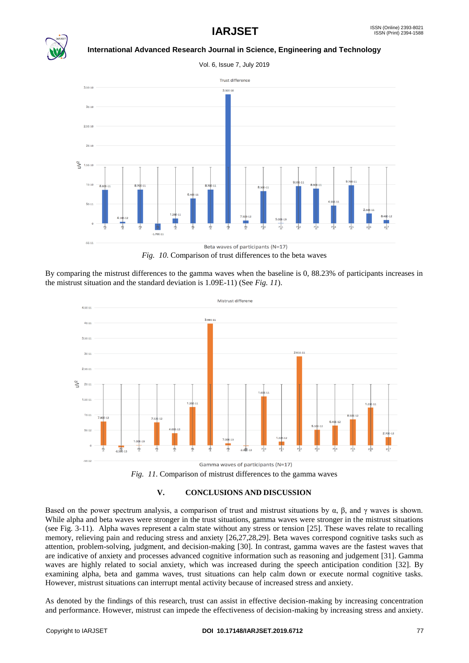

Vol. 6, Issue 7, July 2019



*Fig. 10*. Comparison of trust differences to the beta waves

By comparing the mistrust differences to the gamma waves when the baseline is 0, 88.23% of participants increases in the mistrust situation and the standard deviation is 1.09E-11) (See *Fig. 11*).



*Fig. 11*. Comparison of mistrust differences to the gamma waves

# **V. CONCLUSIONS AND DISCUSSION**

Based on the power spectrum analysis, a comparison of trust and mistrust situations by  $\alpha$ ,  $\beta$ , and  $\gamma$  waves is shown. While alpha and beta waves were stronger in the trust situations, gamma waves were stronger in the mistrust situations (see Fig. 3-11). Alpha waves represent a calm state without any stress or tension [25]. These waves relate to recalling memory, relieving pain and reducing stress and anxiety [26,27,28,29]. Beta waves correspond cognitive tasks such as attention, problem-solving, judgment, and decision-making [30]. In contrast, gamma waves are the fastest waves that are indicative of anxiety and processes advanced cognitive information such as reasoning and judgement [31]. Gamma waves are highly related to social anxiety, which was increased during the speech anticipation condition [32]. By examining alpha, beta and gamma waves, trust situations can help calm down or execute normal cognitive tasks. However, mistrust situations can interrupt mental activity because of increased stress and anxiety.

As denoted by the findings of this research, trust can assist in effective decision-making by increasing concentration and performance. However, mistrust can impede the effectiveness of decision-making by increasing stress and anxiety.